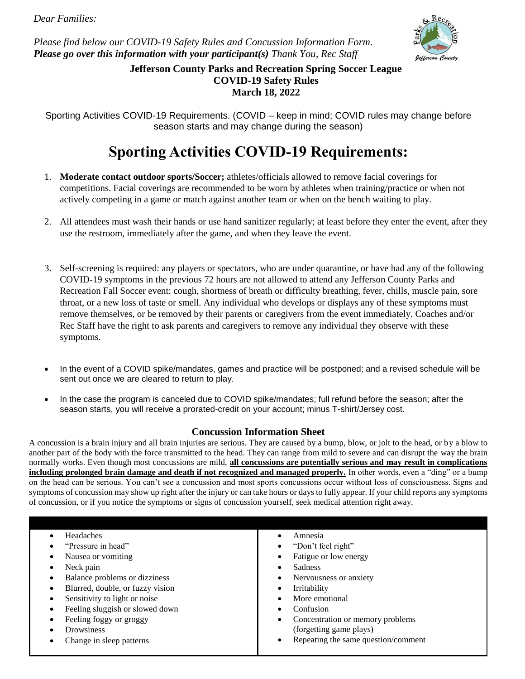*Please find below our COVID-19 Safety Rules and Concussion Information Form. Please go over this information with your participant(s) Thank You, Rec Staff*



**Jefferson County Parks and Recreation Spring Soccer League COVID-19 Safety Rules March 18, 2022**

Sporting Activities COVID-19 Requirements. (COVID – keep in mind; COVID rules may change before season starts and may change during the season)

# **Sporting Activities COVID-19 Requirements:**

- 1. **Moderate contact outdoor sports/Soccer;** athletes/officials allowed to remove facial coverings for competitions. Facial coverings are recommended to be worn by athletes when training/practice or when not actively competing in a game or match against another team or when on the bench waiting to play.
- 2. All attendees must wash their hands or use hand sanitizer regularly; at least before they enter the event, after they use the restroom, immediately after the game, and when they leave the event.
- 3. Self-screening is required: any players or spectators, who are under quarantine, or have had any of the following COVID-19 symptoms in the previous 72 hours are not allowed to attend any Jefferson County Parks and Recreation Fall Soccer event: cough, shortness of breath or difficulty breathing, fever, chills, muscle pain, sore throat, or a new loss of taste or smell. Any individual who develops or displays any of these symptoms must remove themselves, or be removed by their parents or caregivers from the event immediately. Coaches and/or Rec Staff have the right to ask parents and caregivers to remove any individual they observe with these symptoms.
- In the event of a COVID spike/mandates, games and practice will be postponed; and a revised schedule will be sent out once we are cleared to return to play.
- In the case the program is canceled due to COVID spike/mandates; full refund before the season; after the season starts, you will receive a prorated-credit on your account; minus T-shirt/Jersey cost.

## **Concussion Information Sheet**

A concussion is a brain injury and all brain injuries are serious. They are caused by a bump, blow, or jolt to the head, or by a blow to another part of the body with the force transmitted to the head. They can range from mild to severe and can disrupt the way the brain normally works. Even though most concussions are mild, **all concussions are potentially serious and may result in complications including prolonged brain damage and death if not recognized and managed properly.** In other words, even a "ding" or a bump on the head can be serious. You can't see a concussion and most sports concussions occur without loss of consciousness. Signs and symptoms of concussion may show up right after the injury or can take hours or days to fully appear. If your child reports any symptoms of concussion, or if you notice the symptoms or signs of concussion yourself, seek medical attention right away.

| Headaches                        | Amnesia                             |
|----------------------------------|-------------------------------------|
| "Pressure in head"               | "Don't feel right"                  |
| Nausea or vomiting               | Fatigue or low energy               |
| Neck pain                        | <b>Sadness</b>                      |
| Balance problems or dizziness    | Nervousness or anxiety              |
| Blurred, double, or fuzzy vision | Irritability                        |
| Sensitivity to light or noise    | More emotional                      |
| Feeling sluggish or slowed down  | Confusion<br>٠                      |
| Feeling foggy or groggy          | Concentration or memory problems    |
| Drowsiness                       | (forgetting game plays)             |
| Change in sleep patterns         | Repeating the same question/comment |
|                                  |                                     |